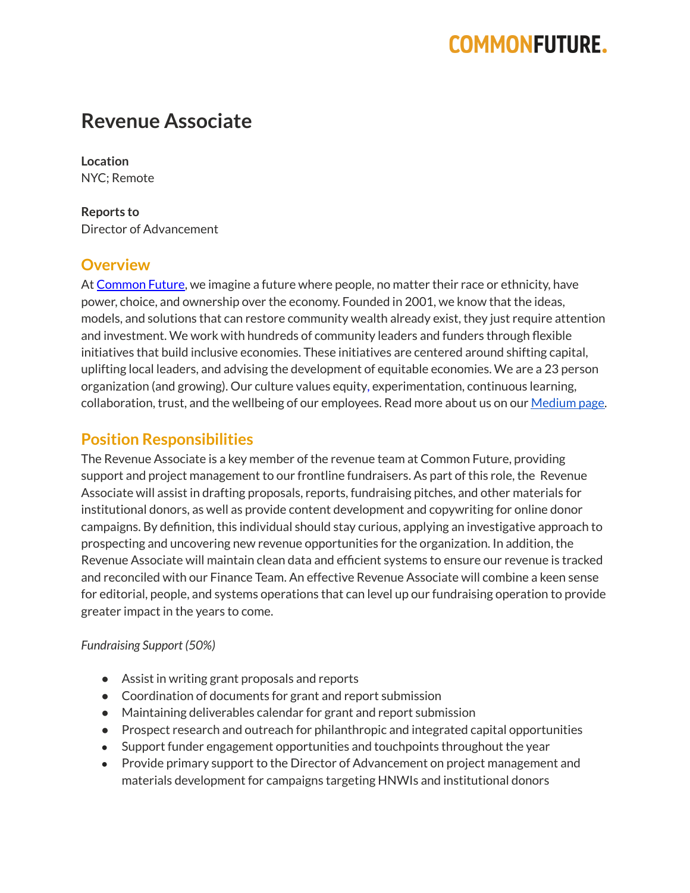# **COMMONFUTURE.**

# **Revenue Associate**

**Location** NYC; Remote

**Reports to** Director of Advancement

### **Overview**

At [Common](https://www.commonfuture.co/) Future, we imagine a future where people, no matter their race or ethnicity, have power, choice, and ownership over the economy. Founded in 2001, we know that the ideas, models, and solutions that can restore community wealth already exist, they just require attention and investment. We work with hundreds of community leaders and funders through flexible initiatives that build inclusive economies. These initiatives are centered around shifting capital, uplifting local leaders, and advising the development of equitable economies. We are a 23 person organization (and growing). Our culture values equity, experimentation, continuous learning, collaboration, trust, and the wellbeing of our employees. Read more about us on our [Medium](https://medium.com/commonfuture) page.

### **Position Responsibilities**

The Revenue Associate is a key member of the revenue team at Common Future, providing support and project management to our frontline fundraisers. As part of this role, the Revenue Associate will assist in drafting proposals, reports, fundraising pitches, and other materials for institutional donors, as well as provide content development and copywriting for online donor campaigns. By definition, this individual should stay curious, applying an investigative approach to prospecting and uncovering new revenue opportunities for the organization. In addition, the Revenue Associate will maintain clean data and efficient systems to ensure our revenue is tracked and reconciled with our Finance Team. An effective Revenue Associate will combine a keen sense for editorial, people, and systems operations that can level up our fundraising operation to provide greater impact in the years to come.

#### *Fundraising Support (50%)*

- Assist in writing grant proposals and reports
- Coordination of documents for grant and report submission
- Maintaining deliverables calendar for grant and report submission
- Prospect research and outreach for philanthropic and integrated capital opportunities
- Support funder engagement opportunities and touchpoints throughout the year
- Provide primary support to the Director of Advancement on project management and materials development for campaigns targeting HNWIs and institutional donors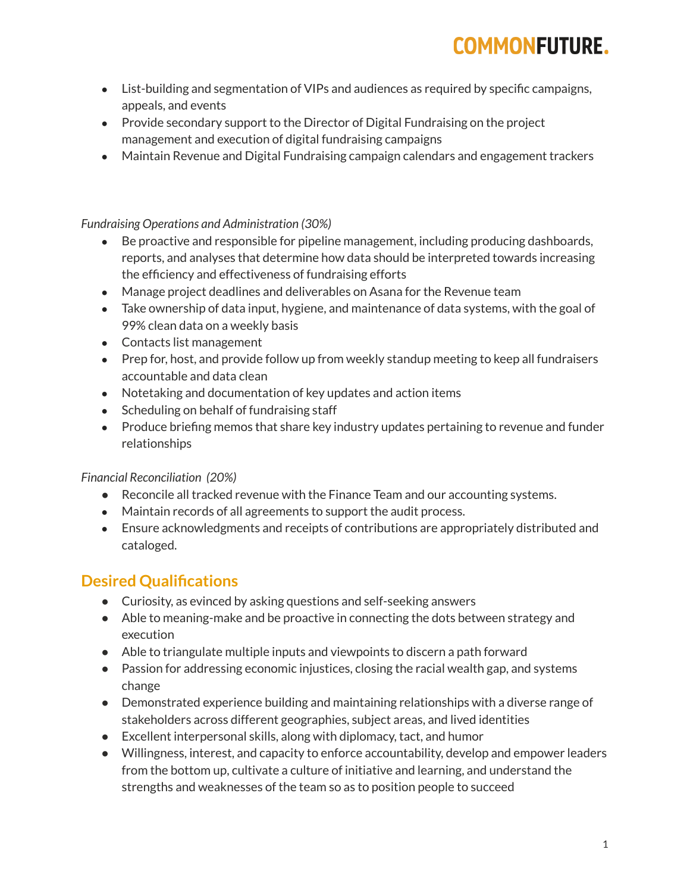# **COMMONFUTURE.**

- List-building and segmentation of VIPs and audiences as required by specific campaigns, appeals, and events
- Provide secondary support to the Director of Digital Fundraising on the project management and execution of digital fundraising campaigns
- Maintain Revenue and Digital Fundraising campaign calendars and engagement trackers

#### *Fundraising Operations and Administration (30%)*

- Be proactive and responsible for pipeline management, including producing dashboards, reports, and analyses that determine how data should be interpreted towards increasing the efficiency and effectiveness of fundraising efforts
- Manage project deadlines and deliverables on Asana for the Revenue team
- Take ownership of data input, hygiene, and maintenance of data systems, with the goal of 99% clean data on a weekly basis
- Contacts list management
- Prep for, host, and provide follow up from weekly standup meeting to keep all fundraisers accountable and data clean
- Notetaking and documentation of key updates and action items
- Scheduling on behalf of fundraising staff
- Produce briefing memos that share key industry updates pertaining to revenue and funder relationships

#### *Financial Reconciliation (20%)*

- Reconcile all tracked revenue with the Finance Team and our accounting systems.
- Maintain records of all agreements to support the audit process.
- Ensure acknowledgments and receipts of contributions are appropriately distributed and cataloged.

## **Desired Qualifications**

- Curiosity, as evinced by asking questions and self-seeking answers
- Able to meaning-make and be proactive in connecting the dots between strategy and execution
- Able to triangulate multiple inputs and viewpoints to discern a path forward
- Passion for addressing economic injustices, closing the racial wealth gap, and systems change
- Demonstrated experience building and maintaining relationships with a diverse range of stakeholders across different geographies, subject areas, and lived identities
- Excellent interpersonal skills, along with diplomacy, tact, and humor
- Willingness, interest, and capacity to enforce accountability, develop and empower leaders from the bottom up, cultivate a culture of initiative and learning, and understand the strengths and weaknesses of the team so as to position people to succeed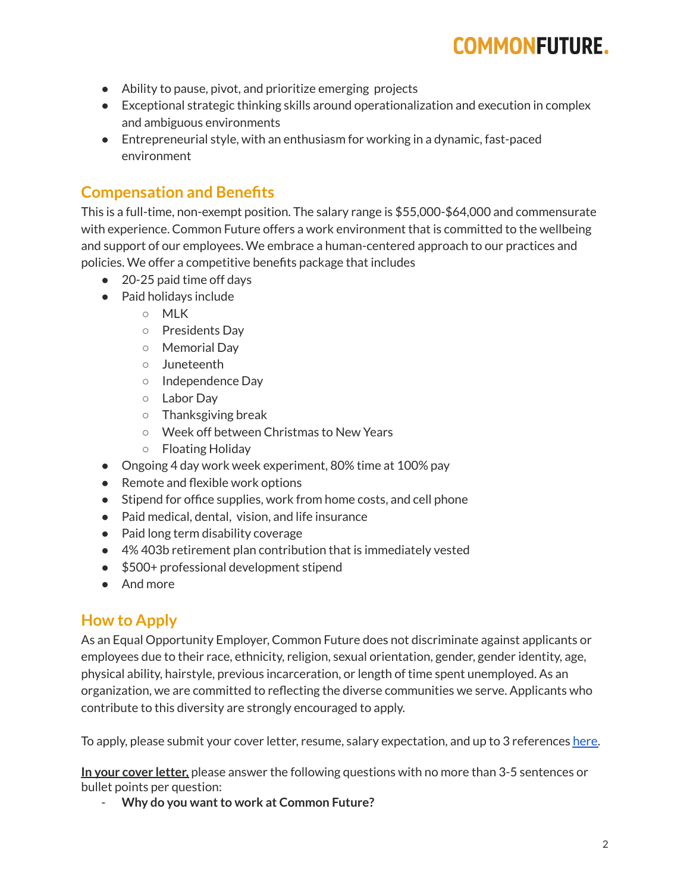# **COMMONFUTURE.**

- Ability to pause, pivot, and prioritize emerging projects
- Exceptional strategic thinking skills around operationalization and execution in complex and ambiguous environments
- $\bullet$  Entrepreneurial style, with an enthusiasm for working in a dynamic, fast-paced environment

## **Compensation and Benefits**

This is a full-time, non-exempt position. The salary range is \$55,000-\$64,000 and commensurate with experience. Common Future offers a work environment that is committed to the wellbeing and support of our employees. We embrace a human-centered approach to our practices and policies. We offer a competitive benefits package that includes

- 20-25 paid time off days
- Paid holidays include
	- MLK
	- Presidents Day
	- Memorial Day
	- Juneteenth
	- Independence Day
	- Labor Day
	- Thanksgiving break
	- Week off between Christmas to New Years
	- Floating Holiday
- Ongoing 4 day work week experiment, 80% time at 100% pay
- Remote and flexible work options
- Stipend for office supplies, work from home costs, and cell phone
- Paid medical, dental, vision, and life insurance
- Paid long term disability coverage
- 4% 403b retirement plan contribution that is immediately vested
- \$500+ professional development stipend
- And more

### **How to Apply**

As an Equal Opportunity Employer, Common Future does not discriminate against applicants or employees due to their race, ethnicity, religion, sexual orientation, gender, gender identity, age, physical ability, hairstyle, previous incarceration, or length of time spent unemployed. As an organization, we are committed to reflecting the diverse communities we serve. Applicants who contribute to this diversity are strongly encouraged to apply.

To apply, please submit your cover letter, resume, salary expectation, and up to 3 references [here.](https://airtable.com/shrvxgYXIcBHW2zOY)

**In your cover letter,** please answer the following questions with no more than 3-5 sentences or bullet points per question:

 $-$  **Why** do you want to work at Common Future?